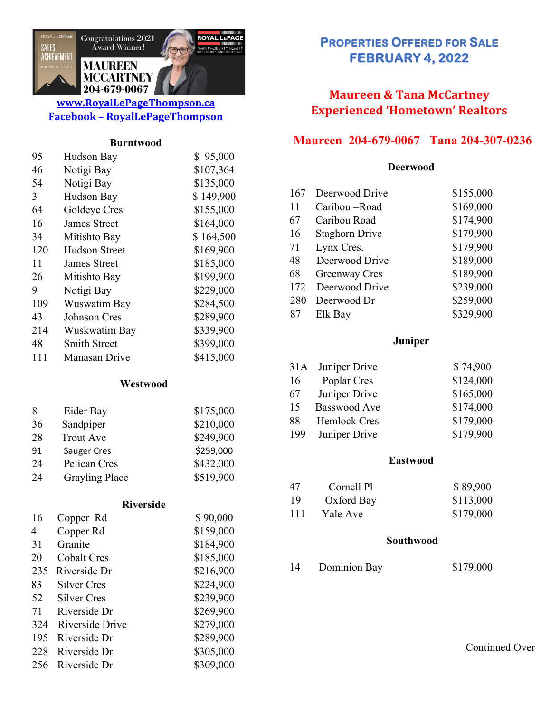

## **www.RoyalLePageThompson.ca Facebook – RoyalLePageThompson**

#### **Burntwood**

| 95  | Hudson Bay    | \$95,000  |
|-----|---------------|-----------|
| 46  | Notigi Bay    | \$107,364 |
| 54  | Notigi Bay    | \$135,000 |
| 3   | Hudson Bay    | \$149,900 |
| 64  | Goldeye Cres  | \$155,000 |
| 16  | James Street  | \$164,000 |
| 34  | Mitishto Bay  | \$164,500 |
| 120 | Hudson Street | \$169,900 |
| 11  | James Street  | \$185,000 |
| 26  | Mitishto Bay  | \$199,900 |
| 9   | Notigi Bay    | \$229,000 |
| 109 | Wuswatim Bay  | \$284,500 |
| 43  | Johnson Cres  | \$289,900 |
| 214 | Wuskwatim Bay | \$339,900 |
| 48  | Smith Street  | \$399,000 |
| 111 | Manasan Drive | \$415,000 |
|     |               |           |

## **Westwood**

| 8  | Eider Bay             | \$175,000 |
|----|-----------------------|-----------|
| 36 | Sandpiper             | \$210,000 |
| 28 | <b>Trout Ave</b>      | \$249,900 |
| 91 | <b>Sauger Cres</b>    | \$259,000 |
| 24 | Pelican Cres          | \$432,000 |
| 24 | <b>Grayling Place</b> | \$519,900 |

#### **Riverside**

| 16  | Copper Rd          | \$90,000  |
|-----|--------------------|-----------|
| 4   | Copper Rd          | \$159,000 |
| 31  | Granite            | \$184,900 |
| 20  | <b>Cobalt Cres</b> | \$185,000 |
| 235 | Riverside Dr       | \$216,900 |
| 83  | Silver Cres        | \$224,900 |
| 52  | Silver Cres        | \$239,900 |
| 71  | Riverside Dr       | \$269,900 |
| 324 | Riverside Drive    | \$279,000 |
| 195 | Riverside Dr       | \$289,900 |
| 228 | Riverside Dr       | \$305,000 |
| 256 | Riverside Dr       | \$309,000 |

# **PROPERTIES OFFERED FOR SALE FEBRUARY 4, 2022**

# **Maureen & Tana McCartney Experienced 'Hometown' Realtors**

## **Maureen 204-679-0067 Tana 204-307-0236**

#### **Deerwood**

| 167 | Deerwood Drive        | \$155,000 |
|-----|-----------------------|-----------|
| 11  | Caribou = Road        | \$169,000 |
| 67  | Caribou Road          | \$174,900 |
| 16  | <b>Staghorn Drive</b> | \$179,900 |
| 71  | Lynx Cres.            | \$179,900 |
| 48  | Deerwood Drive        | \$189,000 |
| 68  | Greenway Cres         | \$189,900 |
| 172 | Deerwood Drive        | \$239,000 |
| 280 | Deerwood Dr           | \$259,000 |
| 87  | Elk Bay               | \$329,900 |

### **Juniper**

| 31A | Juniper Drive       | \$74,900  |
|-----|---------------------|-----------|
| 16  | Poplar Cres         | \$124,000 |
| 67  | Juniper Drive       | \$165,000 |
| 15  | Basswood Ave        | \$174,000 |
| 88  | <b>Hemlock Cres</b> | \$179,000 |
| 199 | Juniper Drive       | \$179,900 |

#### **Eastwood**

| 47  | Cornell Pl | \$89,900  |
|-----|------------|-----------|
| 19  | Oxford Bay | \$113,000 |
| 111 | Yale Ave   | \$179,000 |

#### **Southwood**

Dominion Bay \$179,000

Continued Over